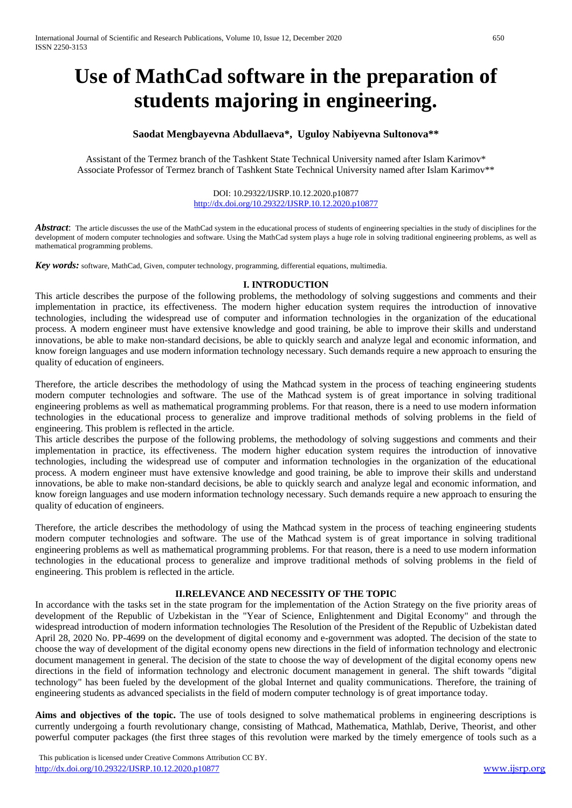# **Use of MathCad software in the preparation of students majoring in engineering.**

## **Saodat Mengbayevna Abdullaeva\*, Uguloy Nabiyevna Sultonova\*\***

Assistant of the Termez branch of the Tashkent State Technical University named after Islam Karimov\* Associate Professor of Termez branch of Tashkent State Technical University named after Islam Karimov\*\*

> DOI: 10.29322/IJSRP.10.12.2020.p10877 <http://dx.doi.org/10.29322/IJSRP.10.12.2020.p10877>

**Abstract**: The article discusses the use of the MathCad system in the educational process of students of engineering specialties in the study of disciplines for the development of modern computer technologies and software. Using the MathCad system plays a huge role in solving traditional engineering problems, as well as mathematical programming problems.

Key words: software, MathCad, Given, computer technology, programming, differential equations, multimedia.

### **I. INTRODUCTION**

This article describes the purpose of the following problems, the methodology of solving suggestions and comments and their implementation in practice, its effectiveness. The modern higher education system requires the introduction of innovative technologies, including the widespread use of computer and information technologies in the organization of the educational process. A modern engineer must have extensive knowledge and good training, be able to improve their skills and understand innovations, be able to make non-standard decisions, be able to quickly search and analyze legal and economic information, and know foreign languages and use modern information technology necessary. Such demands require a new approach to ensuring the quality of education of engineers.

Therefore, the article describes the methodology of using the Mathcad system in the process of teaching engineering students modern computer technologies and software. The use of the Mathcad system is of great importance in solving traditional engineering problems as well as mathematical programming problems. For that reason, there is a need to use modern information technologies in the educational process to generalize and improve traditional methods of solving problems in the field of engineering. This problem is reflected in the article.

This article describes the purpose of the following problems, the methodology of solving suggestions and comments and their implementation in practice, its effectiveness. The modern higher education system requires the introduction of innovative technologies, including the widespread use of computer and information technologies in the organization of the educational process. A modern engineer must have extensive knowledge and good training, be able to improve their skills and understand innovations, be able to make non-standard decisions, be able to quickly search and analyze legal and economic information, and know foreign languages and use modern information technology necessary. Such demands require a new approach to ensuring the quality of education of engineers.

Therefore, the article describes the methodology of using the Mathcad system in the process of teaching engineering students modern computer technologies and software. The use of the Mathcad system is of great importance in solving traditional engineering problems as well as mathematical programming problems. For that reason, there is a need to use modern information technologies in the educational process to generalize and improve traditional methods of solving problems in the field of engineering. This problem is reflected in the article.

### **II.RELEVANCE AND NECESSITY OF THE TOPIC**

In accordance with the tasks set in the state program for the implementation of the Action Strategy on the five priority areas of development of the Republic of Uzbekistan in the "Year of Science, Enlightenment and Digital Economy" and through the widespread introduction of modern information technologies The Resolution of the President of the Republic of Uzbekistan dated April 28, 2020 No. PP-4699 on the development of digital economy and e-government was adopted. The decision of the state to choose the way of development of the digital economy opens new directions in the field of information technology and electronic document management in general. The decision of the state to choose the way of development of the digital economy opens new directions in the field of information technology and electronic document management in general. The shift towards "digital technology" has been fueled by the development of the global Internet and quality communications. Therefore, the training of engineering students as advanced specialists in the field of modern computer technology is of great importance today.

Aims and objectives of the topic. The use of tools designed to solve mathematical problems in engineering descriptions is currently undergoing a fourth revolutionary change, consisting of Mathcad, Mathematica, Mathlab, Derive, Theorist, and other powerful computer packages (the first three stages of this revolution were marked by the timely emergence of tools such as a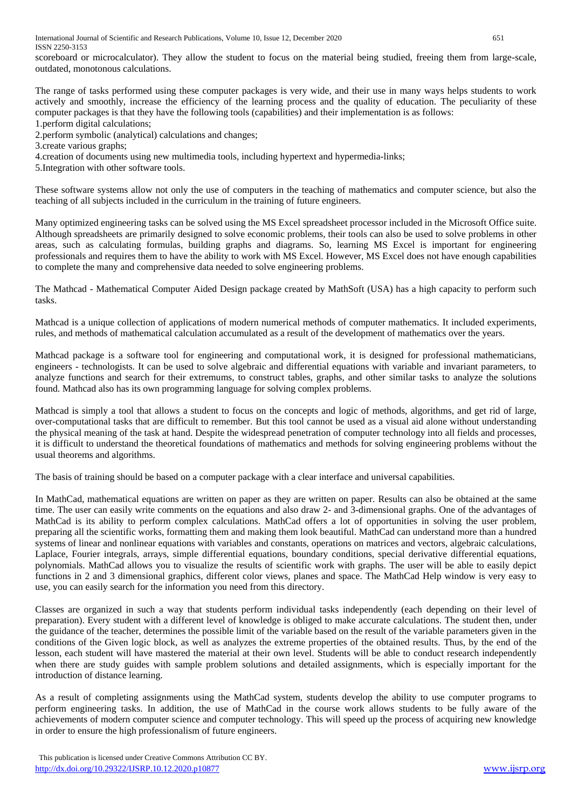scoreboard or microcalculator). They allow the student to focus on the material being studied, freeing them from large-scale, outdated, monotonous calculations.

The range of tasks performed using these computer packages is very wide, and their use in many ways helps students to work actively and smoothly, increase the efficiency of the learning process and the quality of education. The peculiarity of these computer packages is that they have the following tools (capabilities) and their implementation is as follows: 1.perform digital calculations;

2.perform symbolic (analytical) calculations and changes;

3.create various graphs;

4.creation of documents using new multimedia tools, including hypertext and hypermedia-links;

5.Integration with other software tools.

These software systems allow not only the use of computers in the teaching of mathematics and computer science, but also the teaching of all subjects included in the curriculum in the training of future engineers.

Many optimized engineering tasks can be solved using the MS Excel spreadsheet processor included in the Microsoft Office suite. Although spreadsheets are primarily designed to solve economic problems, their tools can also be used to solve problems in other areas, such as calculating formulas, building graphs and diagrams. So, learning MS Excel is important for engineering professionals and requires them to have the ability to work with MS Excel. However, MS Excel does not have enough capabilities to complete the many and comprehensive data needed to solve engineering problems.

The Mathcad - Mathematical Computer Aided Design package created by MathSoft (USA) has a high capacity to perform such tasks.

Mathcad is a unique collection of applications of modern numerical methods of computer mathematics. It included experiments, rules, and methods of mathematical calculation accumulated as a result of the development of mathematics over the years.

Mathcad package is a software tool for engineering and computational work, it is designed for professional mathematicians, engineers - technologists. It can be used to solve algebraic and differential equations with variable and invariant parameters, to analyze functions and search for their extremums, to construct tables, graphs, and other similar tasks to analyze the solutions found. Mathcad also has its own programming language for solving complex problems.

Mathcad is simply a tool that allows a student to focus on the concepts and logic of methods, algorithms, and get rid of large, over-computational tasks that are difficult to remember. But this tool cannot be used as a visual aid alone without understanding the physical meaning of the task at hand. Despite the widespread penetration of computer technology into all fields and processes, it is difficult to understand the theoretical foundations of mathematics and methods for solving engineering problems without the usual theorems and algorithms.

The basis of training should be based on a computer package with a clear interface and universal capabilities.

In MathCad, mathematical equations are written on paper as they are written on paper. Results can also be obtained at the same time. The user can easily write comments on the equations and also draw 2- and 3-dimensional graphs. One of the advantages of MathCad is its ability to perform complex calculations. MathCad offers a lot of opportunities in solving the user problem, preparing all the scientific works, formatting them and making them look beautiful. MathCad can understand more than a hundred systems of linear and nonlinear equations with variables and constants, operations on matrices and vectors, algebraic calculations, Laplace, Fourier integrals, arrays, simple differential equations, boundary conditions, special derivative differential equations, polynomials. MathCad allows you to visualize the results of scientific work with graphs. The user will be able to easily depict functions in 2 and 3 dimensional graphics, different color views, planes and space. The MathCad Help window is very easy to use, you can easily search for the information you need from this directory.

Classes are organized in such a way that students perform individual tasks independently (each depending on their level of preparation). Every student with a different level of knowledge is obliged to make accurate calculations. The student then, under the guidance of the teacher, determines the possible limit of the variable based on the result of the variable parameters given in the conditions of the Given logic block, as well as analyzes the extreme properties of the obtained results. Thus, by the end of the lesson, each student will have mastered the material at their own level. Students will be able to conduct research independently when there are study guides with sample problem solutions and detailed assignments, which is especially important for the introduction of distance learning.

As a result of completing assignments using the MathCad system, students develop the ability to use computer programs to perform engineering tasks. In addition, the use of MathCad in the course work allows students to be fully aware of the achievements of modern computer science and computer technology. This will speed up the process of acquiring new knowledge in order to ensure the high professionalism of future engineers.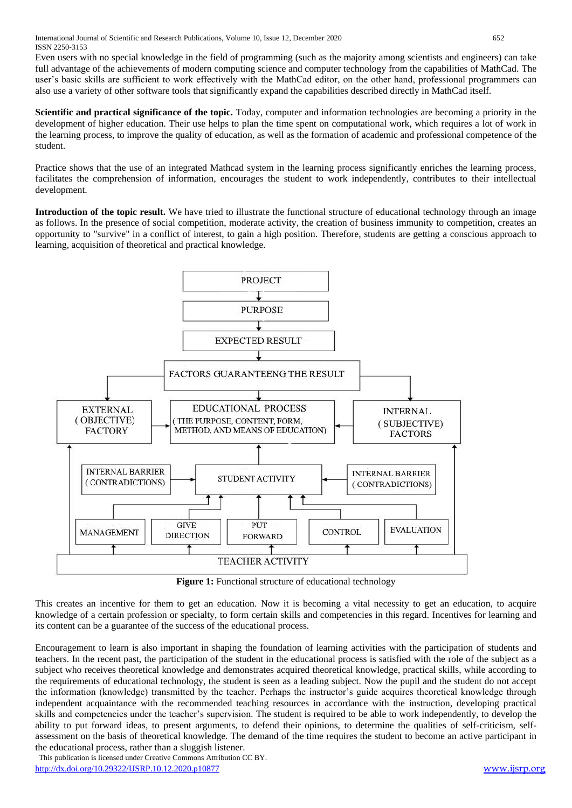International Journal of Scientific and Research Publications, Volume 10, Issue 12, December 2020 652 ISSN 2250-3153

Even users with no special knowledge in the field of programming (such as the majority among scientists and engineers) can take full advantage of the achievements of modern computing science and computer technology from the capabilities of MathCad. The user's basic skills are sufficient to work effectively with the MathCad editor, on the other hand, professional programmers can also use a variety of other software tools that significantly expand the capabilities described directly in MathCad itself.

**Scientific and practical significance of the topic.** Today, computer and information technologies are becoming a priority in the development of higher education. Their use helps to plan the time spent on computational work, which requires a lot of work in the learning process, to improve the quality of education, as well as the formation of academic and professional competence of the student.

Practice shows that the use of an integrated Mathcad system in the learning process significantly enriches the learning process, facilitates the comprehension of information, encourages the student to work independently, contributes to their intellectual development.

**Introduction of the topic result.** We have tried to illustrate the functional structure of educational technology through an image as follows. In the presence of social competition, moderate activity, the creation of business immunity to competition, creates an opportunity to "survive" in a conflict of interest, to gain a high position. Therefore, students are getting a conscious approach to learning, acquisition of theoretical and practical knowledge.



**Figure 1:** Functional structure of educational technology

This creates an incentive for them to get an education. Now it is becoming a vital necessity to get an education, to acquire knowledge of a certain profession or specialty, to form certain skills and competencies in this regard. Incentives for learning and its content can be a guarantee of the success of the educational process.

Encouragement to learn is also important in shaping the foundation of learning activities with the participation of students and teachers. In the recent past, the participation of the student in the educational process is satisfied with the role of the subject as a subject who receives theoretical knowledge and demonstrates acquired theoretical knowledge, practical skills, while according to the requirements of educational technology, the student is seen as a leading subject. Now the pupil and the student do not accept the information (knowledge) transmitted by the teacher. Perhaps the instructor's guide acquires theoretical knowledge through independent acquaintance with the recommended teaching resources in accordance with the instruction, developing practical skills and competencies under the teacher's supervision. The student is required to be able to work independently, to develop the ability to put forward ideas, to present arguments, to defend their opinions, to determine the qualities of self-criticism, selfassessment on the basis of theoretical knowledge. The demand of the time requires the student to become an active participant in the educational process, rather than a sluggish listener.

 This publication is licensed under Creative Commons Attribution CC BY. <http://dx.doi.org/10.29322/IJSRP.10.12.2020.p10877> [www.ijsrp.org](http://ijsrp.org/)